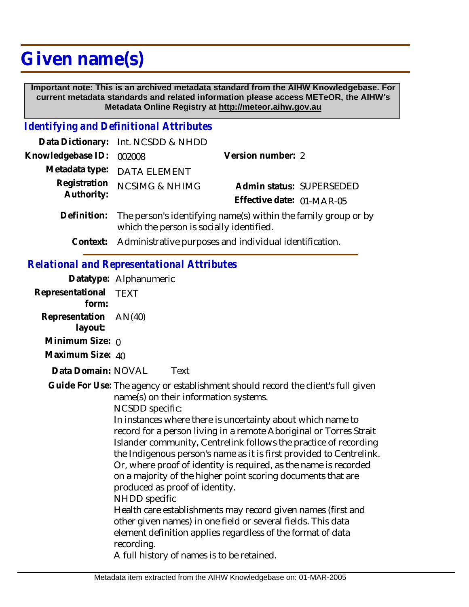# **Given name(s)**

 **Important note: This is an archived metadata standard from the AIHW Knowledgebase. For current metadata standards and related information please access METeOR, the AIHW's Metadata Online Registry at http://meteor.aihw.gov.au**

### *Identifying and Definitional Attributes*

|                            | Data Dictionary: Int. NCSDD & NHDD                                                                                     |                           |                          |
|----------------------------|------------------------------------------------------------------------------------------------------------------------|---------------------------|--------------------------|
| Knowledgebase ID: 002008   |                                                                                                                        | Version number: 2         |                          |
|                            | Metadata type: DATA ELEMENT                                                                                            |                           |                          |
| Registration<br>Authority: | <b>NCSIMG &amp; NHIMG</b>                                                                                              | Effective date: 01-MAR-05 | Admin status: SUPERSEDED |
|                            | Definition: The person's identifying name(s) within the family group or by<br>which the person is socially identified. |                           |                          |

**Context:** Administrative purposes and individual identification.

## *Relational and Representational Attributes*

**Datatype:** Alphanumeric

|                                | Datatype: Alphanumenc                                                                                                                                                                                                                                                                                                                                                                                                                                                                                                                                                                                                                                                                                                                                                                                                                                                                 |  |
|--------------------------------|---------------------------------------------------------------------------------------------------------------------------------------------------------------------------------------------------------------------------------------------------------------------------------------------------------------------------------------------------------------------------------------------------------------------------------------------------------------------------------------------------------------------------------------------------------------------------------------------------------------------------------------------------------------------------------------------------------------------------------------------------------------------------------------------------------------------------------------------------------------------------------------|--|
| Representational TEXT<br>form: |                                                                                                                                                                                                                                                                                                                                                                                                                                                                                                                                                                                                                                                                                                                                                                                                                                                                                       |  |
| Representation<br>layout:      | AN(40)                                                                                                                                                                                                                                                                                                                                                                                                                                                                                                                                                                                                                                                                                                                                                                                                                                                                                |  |
| Minimum Size: $\rho$           |                                                                                                                                                                                                                                                                                                                                                                                                                                                                                                                                                                                                                                                                                                                                                                                                                                                                                       |  |
| Maximum Size: 40               |                                                                                                                                                                                                                                                                                                                                                                                                                                                                                                                                                                                                                                                                                                                                                                                                                                                                                       |  |
| Data Domain: NOVAL             | Text                                                                                                                                                                                                                                                                                                                                                                                                                                                                                                                                                                                                                                                                                                                                                                                                                                                                                  |  |
|                                | Guide For Use: The agency or establishment should record the client's full given<br>name(s) on their information systems.<br>NCSDD specific:<br>In instances where there is uncertainty about which name to<br>record for a person living in a remote Aboriginal or Torres Strait<br>Islander community, Centrelink follows the practice of recording<br>the Indigenous person's name as it is first provided to Centrelink.<br>Or, where proof of identity is required, as the name is recorded<br>on a majority of the higher point scoring documents that are<br>produced as proof of identity.<br><b>NHDD</b> specific<br>Health care establishments may record given names (first and<br>other given names) in one field or several fields. This data<br>element definition applies regardless of the format of data<br>recording.<br>A full history of names is to be retained. |  |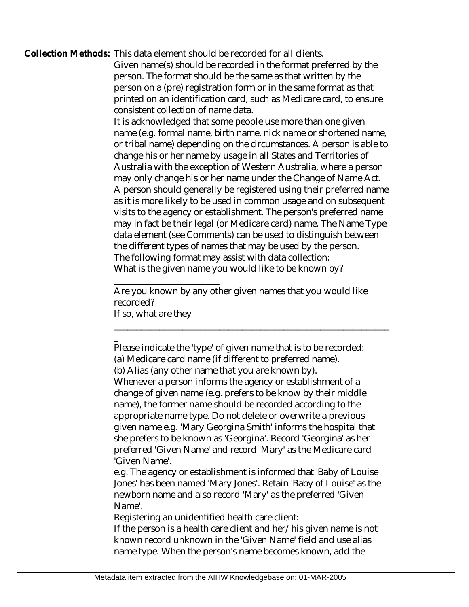#### Collection Methods: This data element should be recorded for all clients.

Given name(s) should be recorded in the format preferred by the person. The format should be the same as that written by the person on a (pre) registration form or in the same format as that printed on an identification card, such as Medicare card, to ensure consistent collection of name data.

It is acknowledged that some people use more than one given name (e.g. formal name, birth name, nick name or shortened name, or tribal name) depending on the circumstances. A person is able to change his or her name by usage in all States and Territories of Australia with the exception of Western Australia, where a person may only change his or her name under the Change of Name Act. A person should generally be registered using their preferred name as it is more likely to be used in common usage and on subsequent visits to the agency or establishment. The person's preferred name may in fact be their legal (or Medicare card) name. The Name Type data element (see Comments) can be used to distinguish between the different types of names that may be used by the person. The following format may assist with data collection: What is the given name you would like to be known by?

\_\_\_\_\_\_\_\_\_\_\_\_\_\_\_\_\_\_\_\_\_\_\_ Are you known by any other given names that you would like recorded? If so, what are they

\_\_\_\_\_\_\_\_\_\_\_\_\_\_\_\_\_\_\_\_\_\_\_\_\_\_\_\_\_\_\_\_\_\_\_\_\_\_\_\_\_\_\_\_\_\_\_\_\_\_\_\_\_\_\_\_\_\_\_\_

\_ Please indicate the 'type' of given name that is to be recorded: (a) Medicare card name (if different to preferred name).

e.g. The agency or establishment is informed that 'Baby of Louise Jones' has been named 'Mary Jones'. Retain 'Baby of Louise' as the newborn name and also record 'Mary' as the preferred 'Given Name'.

Registering an unidentified health care client:

If the person is a health care client and her/his given name is not known record unknown in the 'Given Name' field and use alias name type. When the person's name becomes known, add the

<sup>(</sup>b) Alias (any other name that you are known by).

Whenever a person informs the agency or establishment of a change of given name (e.g. prefers to be know by their middle name), the former name should be recorded according to the appropriate name type. Do not delete or overwrite a previous given name e.g. 'Mary Georgina Smith' informs the hospital that she prefers to be known as 'Georgina'. Record 'Georgina' as her preferred 'Given Name' and record 'Mary' as the Medicare card 'Given Name'.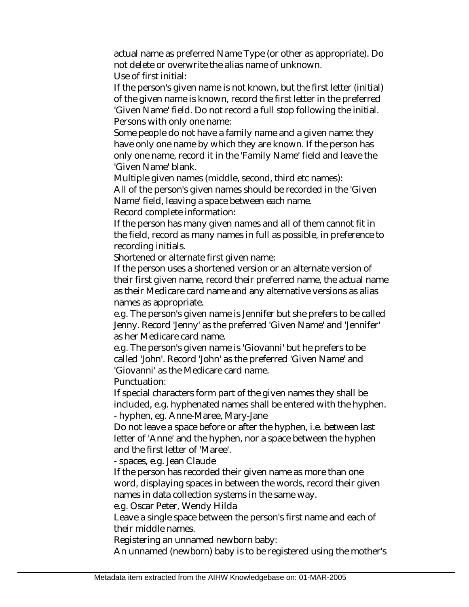actual name as preferred Name Type (or other as appropriate). Do not delete or overwrite the alias name of unknown. Use of first initial:

If the person's given name is not known, but the first letter (initial) of the given name is known, record the first letter in the preferred 'Given Name' field. Do not record a full stop following the initial. Persons with only one name:

Some people do not have a family name and a given name: they have only one name by which they are known. If the person has only one name, record it in the 'Family Name' field and leave the 'Given Name' blank.

Multiple given names (middle, second, third etc names): All of the person's given names should be recorded in the 'Given Name' field, leaving a space between each name.

Record complete information:

If the person has many given names and all of them cannot fit in the field, record as many names in full as possible, in preference to recording initials.

Shortened or alternate first given name:

If the person uses a shortened version or an alternate version of their first given name, record their preferred name, the actual name as their Medicare card name and any alternative versions as alias names as appropriate.

e.g. The person's given name is Jennifer but she prefers to be called Jenny. Record 'Jenny' as the preferred 'Given Name' and 'Jennifer' as her Medicare card name.

e.g. The person's given name is 'Giovanni' but he prefers to be called 'John'. Record 'John' as the preferred 'Given Name' and 'Giovanni' as the Medicare card name.

Punctuation:

If special characters form part of the given names they shall be included, e.g. hyphenated names shall be entered with the hyphen. - hyphen, eg. Anne-Maree, Mary-Jane

Do not leave a space before or after the hyphen, i.e. between last letter of 'Anne' and the hyphen, nor a space between the hyphen and the first letter of 'Maree'.

- spaces, e.g. Jean Claude

If the person has recorded their given name as more than one word, displaying spaces in between the words, record their given names in data collection systems in the same way.

e.g. Oscar Peter, Wendy Hilda

Leave a single space between the person's first name and each of their middle names.

Registering an unnamed newborn baby:

An unnamed (newborn) baby is to be registered using the mother's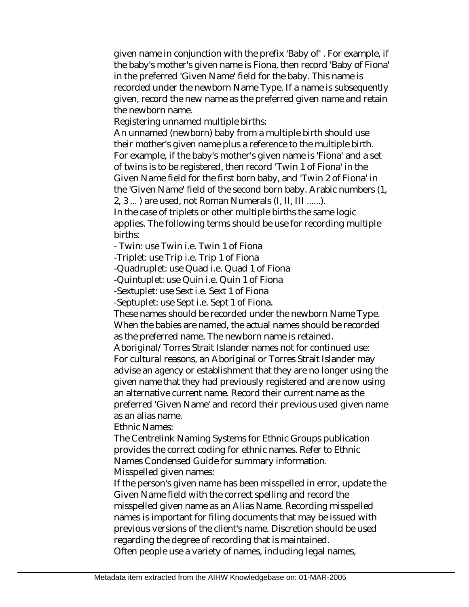given name in conjunction with the prefix 'Baby of' . For example, if the baby's mother's given name is Fiona, then record 'Baby of Fiona' in the preferred 'Given Name' field for the baby. This name is recorded under the newborn Name Type. If a name is subsequently given, record the new name as the preferred given name and retain the newborn name.

Registering unnamed multiple births:

An unnamed (newborn) baby from a multiple birth should use their mother's given name plus a reference to the multiple birth. For example, if the baby's mother's given name is 'Fiona' and a set of twins is to be registered, then record 'Twin 1 of Fiona' in the Given Name field for the first born baby, and 'Twin 2 of Fiona' in the 'Given Name' field of the second born baby. Arabic numbers (1,

2, 3 ... ) are used, not Roman Numerals (I, II, III ......).

In the case of triplets or other multiple births the same logic applies. The following terms should be use for recording multiple births:

- Twin: use Twin i.e. Twin 1 of Fiona

-Triplet: use Trip i.e. Trip 1 of Fiona

-Quadruplet: use Quad i.e. Quad 1 of Fiona

-Quintuplet: use Quin i.e. Quin 1 of Fiona

-Sextuplet: use Sext i.e. Sext 1 of Fiona

-Septuplet: use Sept i.e. Sept 1 of Fiona.

These names should be recorded under the newborn Name Type. When the babies are named, the actual names should be recorded as the preferred name. The newborn name is retained.

Aboriginal/Torres Strait Islander names not for continued use: For cultural reasons, an Aboriginal or Torres Strait Islander may advise an agency or establishment that they are no longer using the given name that they had previously registered and are now using an alternative current name. Record their current name as the preferred 'Given Name' and record their previous used given name as an alias name.

Ethnic Names:

The Centrelink Naming Systems for Ethnic Groups publication provides the correct coding for ethnic names. Refer to Ethnic Names Condensed Guide for summary information. Misspelled given names:

If the person's given name has been misspelled in error, update the Given Name field with the correct spelling and record the misspelled given name as an Alias Name. Recording misspelled names is important for filing documents that may be issued with previous versions of the client's name. Discretion should be used regarding the degree of recording that is maintained.

Often people use a variety of names, including legal names,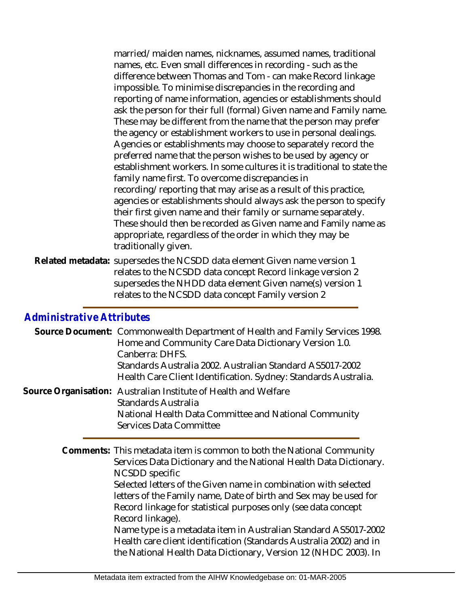married/maiden names, nicknames, assumed names, traditional names, etc. Even small differences in recording - such as the difference between Thomas and Tom - can make Record linkage impossible. To minimise discrepancies in the recording and reporting of name information, agencies or establishments should ask the person for their full (formal) Given name and Family name. These may be different from the name that the person may prefer the agency or establishment workers to use in personal dealings. Agencies or establishments may choose to separately record the preferred name that the person wishes to be used by agency or establishment workers. In some cultures it is traditional to state the family name first. To overcome discrepancies in recording/reporting that may arise as a result of this practice, agencies or establishments should always ask the person to specify their first given name and their family or surname separately. These should then be recorded as Given name and Family name as appropriate, regardless of the order in which they may be traditionally given.

Related metadata: supersedes the NCSDD data element Given name version 1 relates to the NCSDD data concept Record linkage version 2 supersedes the NHDD data element Given name(s) version 1 relates to the NCSDD data concept Family version 2

## *Administrative Attributes*

| Source Document: Commonwealth Department of Health and Family Services 1998.<br>Home and Community Care Data Dictionary Version 1.0.<br>Canberra: DHFS.<br>Standards Australia 2002. Australian Standard AS5017-2002<br>Health Care Client Identification. Sydney: Standards Australia.                                                                                                                                                                                                                                                                                                                 |
|---------------------------------------------------------------------------------------------------------------------------------------------------------------------------------------------------------------------------------------------------------------------------------------------------------------------------------------------------------------------------------------------------------------------------------------------------------------------------------------------------------------------------------------------------------------------------------------------------------|
| Source Organisation: Australian Institute of Health and Welfare<br>Standards Australia<br>National Health Data Committee and National Community<br>Services Data Committee                                                                                                                                                                                                                                                                                                                                                                                                                              |
| Comments: This metadata item is common to both the National Community<br>Services Data Dictionary and the National Health Data Dictionary.<br>NCSDD specific<br>Selected letters of the Given name in combination with selected<br>letters of the Family name, Date of birth and Sex may be used for<br>Record linkage for statistical purposes only (see data concept<br>Record linkage).<br>Name type is a metadata item in Australian Standard AS5017-2002<br>Health care client identification (Standards Australia 2002) and in<br>the National Health Data Dictionary, Version 12 (NHDC 2003). In |